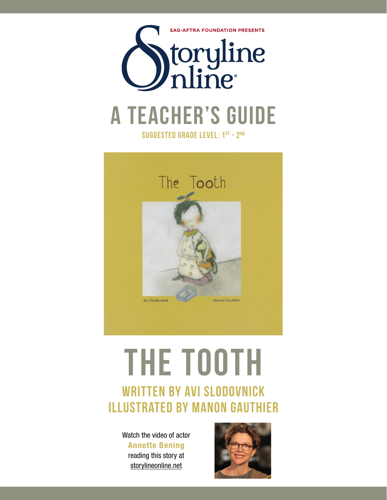



# **The Tooth**

# written by Avi Slodovnick illustrated by Manon Gauthier

Watch the video of actor Annette Bening reading this story at storylineonline.net

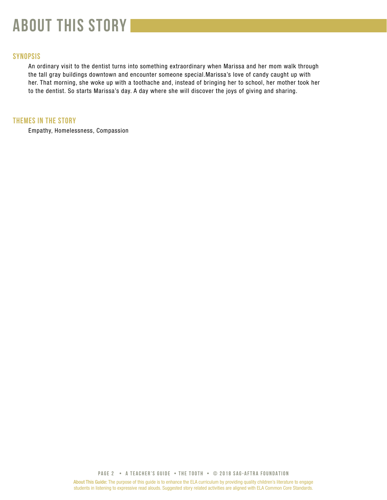# **about this story**

# **SYNOPSIS**

An ordinary visit to the dentist turns into something extraordinary when Marissa and her mom walk through the tall gray buildings downtown and encounter someone special.Marissa's love of candy caught up with her. That morning, she woke up with a toothache and, instead of bringing her to school, her mother took her to the dentist. So starts Marissa's day. A day where she will discover the joys of giving and sharing.

# **THEMES IN THE STORY**

Empathy, Homelessness, Compassion

**PAGE 2 • A teacher's GUIDE • the tooth • © 2018 SAG-AFTRA FOUNDATION**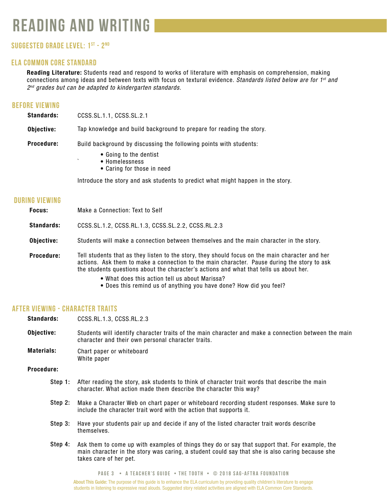# **reading and writing**

# **Suggested grade level: 1st - 2nd**

# **ela common core standard**

Reading Literature: Students read and respond to works of literature with emphasis on comprehension, making connections among ideas and between texts with focus on textural evidence. *Standards listed below are for 1st and 2nd grades but can be adapted to kindergarten standards.*

# **before viewing**

| <b>Standards:</b> | CCSS.SL.1.1, CCSS.SL.2.1                                                                                            |  |
|-------------------|---------------------------------------------------------------------------------------------------------------------|--|
| Objective:        | Tap knowledge and build background to prepare for reading the story.                                                |  |
| <b>Procedure:</b> | Build background by discussing the following points with students:<br>• Going to the dentist<br>٠<br>• Homelessness |  |
|                   | • Caring for those in need                                                                                          |  |
|                   | Introduce the story and ask students to predict what might happen in the story.                                     |  |

# **during viewing** Focus: Standards: Objective: Procedure: Make a Connection: Text to Self CCSS.SL.1.2, CCSS.RL.1.3, CCSS.SL.2.2, CCSS.RL.2.3 Students will make a connection between themselves and the main character in the story. Tell students that as they listen to the story, they should focus on the main character and her

- actions. Ask them to make a connection to the main character. Pause during the story to ask the students questions about the character's actions and what that tells us about her.
	- What does this action tell us about Marissa?
	- Does this remind us of anything you have done? How did you feel?

# **after viewing - Character Traits**

Standards: CCSS.RL.1.3, CCSS.RL.2.3

Objective: Students will identify character traits of the main character and make a connection between the main character and their own personal character traits.

Materials: Chart paper or whiteboard White paper

Procedure:

- Step 1: After reading the story, ask students to think of character trait words that describe the main character. What action made them describe the character this way?
- Step 2: Make a Character Web on chart paper or whiteboard recording student responses. Make sure to include the character trait word with the action that supports it.
- Step 3: Have your students pair up and decide if any of the listed character trait words describe themselves.
- Step 4: Ask them to come up with examples of things they do or say that support that. For example, the main character in the story was caring, a student could say that she is also caring because she takes care of her pet.

**PAGE 3 • A teacher's GUIDE • the tooth • © 2018 SAG-AFTRA FOUNDATION**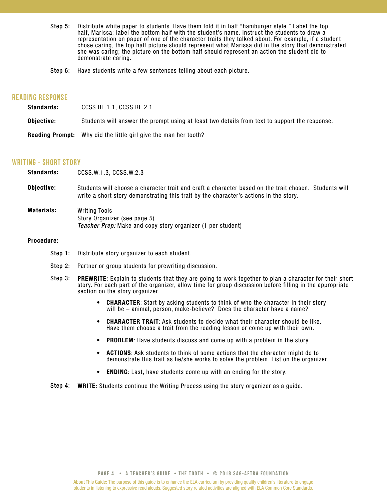- Step 5: Distribute white paper to students. Have them fold it in half "hamburger style." Label the top half, Marissa; label the bottom half with the student's name. Instruct the students to draw a representation on paper of one of the character traits they talked about. For example, if a student chose caring, the top half picture should represent what Marissa did in the story that demonstrated she was caring; the picture on the bottom half should represent an action the student did to demonstrate caring.
- Step 6: Have students write a few sentences telling about each picture.

# **reading response**

| <b>Standards:</b> | CCSS.RL.1.1, CCSS.RL.2.1                                                                      |
|-------------------|-----------------------------------------------------------------------------------------------|
| Obiective:        | Students will answer the prompt using at least two details from text to support the response. |
| Reading Prompt:   | Why did the little girl give the man her tooth?                                               |

### **writing - short story**

| <b>Standards:</b> | CCSS.W.1.3, CCSS.W.2.3                                                                                                                                                                         |
|-------------------|------------------------------------------------------------------------------------------------------------------------------------------------------------------------------------------------|
| Objective:        | Students will choose a character trait and craft a character based on the trait chosen. Students will<br>write a short story demonstrating this trait by the character's actions in the story. |
| <b>Materials:</b> | <b>Writing Tools</b><br>Story Organizer (see page 5)<br><b>Teacher Prep:</b> Make and copy story organizer (1 per student)                                                                     |
| <b>Procedure:</b> |                                                                                                                                                                                                |

- - Step 1: Distribute story organizer to each student.
	- Step 2: Partner or group students for prewriting discussion.
	- Step 3: **PREWRITE:** Explain to students that they are going to work together to plan a character for their short story. For each part of the organizer, allow time for group discussion before filling in the appropriate section on the story organizer.
		- CHARACTER: Start by asking students to think of who the character in their story will be – animal, person, make-believe? Does the character have a name? •
		- CHARACTER TRAIT: Ask students to decide what their character should be like. Have them choose a trait from the reading lesson or come up with their own. •
		- PROBLEM: Have students discuss and come up with a problem in the story. •
		- ACTIONS: Ask students to think of some actions that the character might do to demonstrate this trait as he/she works to solve the problem. List on the organizer. •
		- ENDING: Last, have students come up with an ending for the story. •

Step 4: WRITE: Students continue the Writing Process using the story organizer as a guide.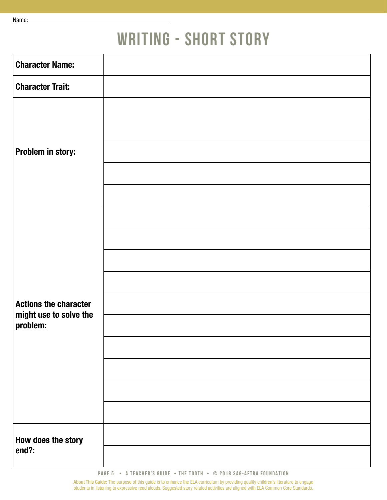# **WRITING - SHORT STORY**

| <b>Character Name:</b>             |  |
|------------------------------------|--|
| <b>Character Trait:</b>            |  |
|                                    |  |
|                                    |  |
| Problem in story:                  |  |
|                                    |  |
|                                    |  |
|                                    |  |
|                                    |  |
|                                    |  |
|                                    |  |
| <b>Actions the character</b>       |  |
| might use to solve the<br>problem: |  |
|                                    |  |
|                                    |  |
|                                    |  |
|                                    |  |
| How does the story                 |  |
| end?:                              |  |

About This Guide: The purpose of this guide is to enhance the ELA curriculum by providing quality children's literature to engage students in listening to expressive read alouds. Suggested story related activities are aligned with ELA Common Core Standards.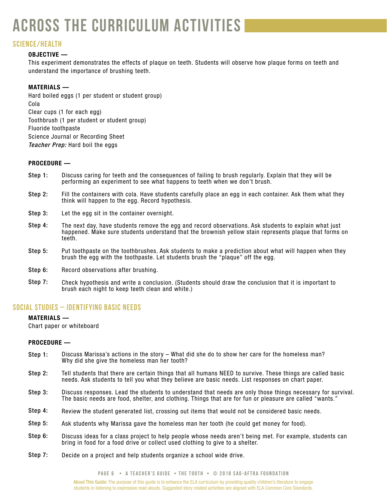# **across the curriculum activities**

# **SCIENCE/health**

# OBJECTIVE —

This experiment demonstrates the effects of plaque on teeth. Students will observe how plaque forms on teeth and understand the importance of brushing teeth.

# MATERIALS —

Hard boiled eggs (1 per student or student group) Cola Clear cups (1 for each egg) Toothbrush (1 per student or student group) Fluoride toothpaste Science Journal or Recording Sheet *Teacher Prep:* Hard boil the eggs

# PROCEDURE —

- Discuss caring for teeth and the consequences of failing to brush regularly. Explain that they will be performing an experiment to see what happens to teeth when we don't brush. Step 1:
- Fill the containers with cola. Have students carefully place an egg in each container. Ask them what they think will happen to the egg. Record hypothesis. Step 2:
- Let the egg sit in the container overnight. Step 3:
- The next day, have students remove the egg and record observations. Ask students to explain what just happened. Make sure students understand that the brownish yellow stain represents plaque that forms on teeth. Step 4:
- Put toothpaste on the toothbrushes. Ask students to make a prediction about what will happen when they brush the egg with the toothpaste. Let students brush the "plaque" off the egg. Step 5:
- Record observations after brushing. Step 6:
- Check hypothesis and write a conclusion. (Students should draw the conclusion that it is important to brush each night to keep teeth clean and white.) Step 7:

# **social studies – Identifying Basic Needs**

# MATERIALS —

Chart paper or whiteboard

### PROCEDURE —

- Discuss Marissa's actions in the story What did she do to show her care for the homeless man? Why did she give the homeless man her tooth? Step 1:
- Tell students that there are certain things that all humans NEED to survive. These things are called basic needs. Ask students to tell you what they believe are basic needs. List responses on chart paper. Step 2:
- Discuss responses. Lead the students to understand that needs are only those things necessary for survival. The basic needs are food, shelter, and clothing. Things that are for fun or pleasure are called "wants." Step 3:
- Review the student generated list, crossing out items that would not be considered basic needs. Step 4:
- Ask students why Marissa gave the homeless man her tooth (he could get money for food). Step 5:
- Discuss ideas for a class project to help people whose needs aren't being met. For example, students can bring in food for a food drive or collect used clothing to give to a shelter. Step 6:
- Decide on a project and help students organize a school wide drive. Step 7: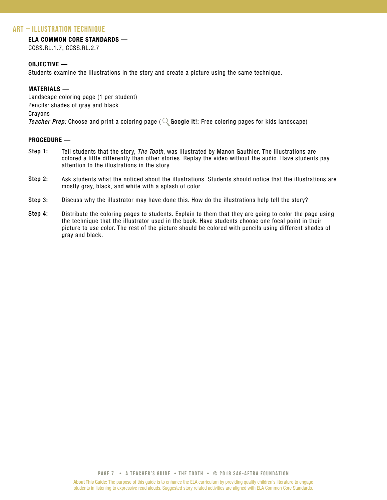# **art – Illustration Technique**

# ELA COMMON CORE STANDARDS —

CCSS.RL.1.7, CCSS.RL.2.7

## OBJECTIVE —

Students examine the illustrations in the story and create a picture using the same technique.

## MATERIALS —

Landscape coloring page (1 per student) Pencils: shades of gray and black Crayons *Teacher Prep:* Choose and print a coloring page ( $\mathbb Q$  Google It!: Free coloring pages for kids landscape)

## PROCEDURE —

- Tell students that the story, *The Tooth*, was illustrated by Manon Gauthier. The illustrations are colored a little differently than other stories. Replay the video without the audio. Have students pay attention to the illustrations in the story. Step 1:
- Ask students what the noticed about the illustrations. Students should notice that the illustrations are mostly gray, black, and white with a splash of color. Step 2:
- Discuss why the illustrator may have done this. How do the illustrations help tell the story? Step 3:
- Distribute the coloring pages to students. Explain to them that they are going to color the page using the technique that the illustrator used in the book. Have students choose one focal point in their picture to use color. The rest of the picture should be colored with pencils using different shades of gray and black. Step 4: